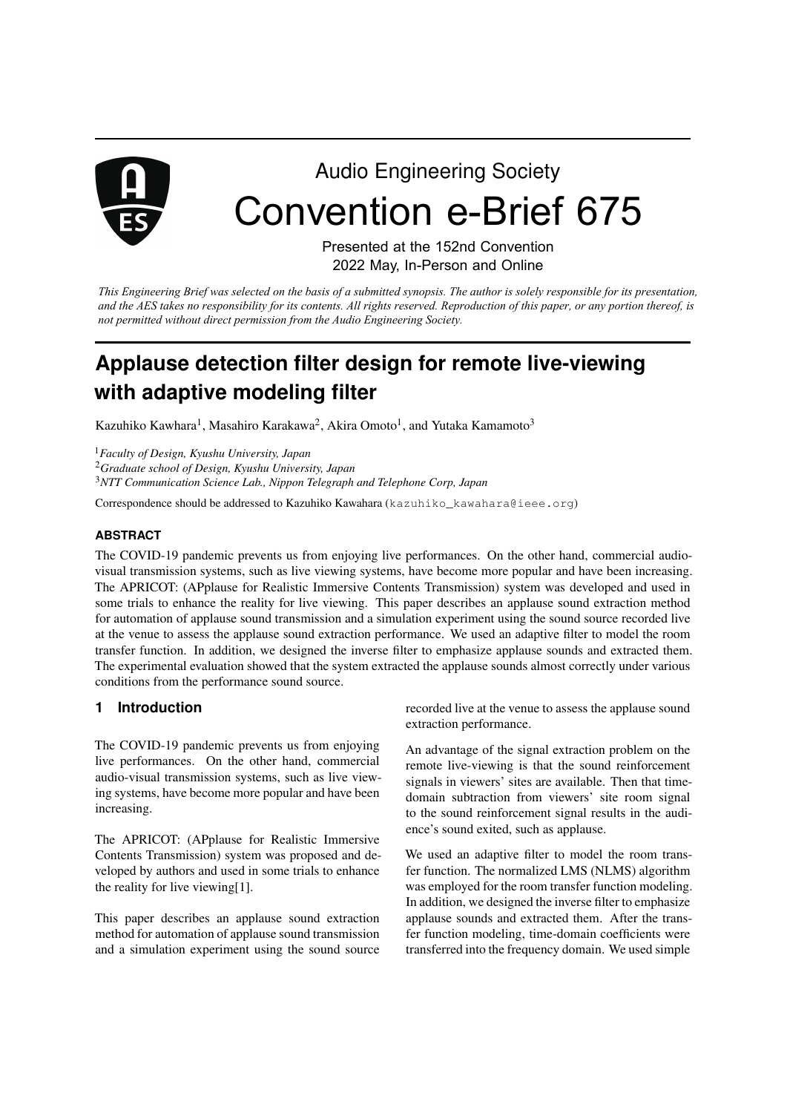

# Audio Engineering Society Convention e-Brief 675

Presented at the 152nd Convention 2022 May, In-Person and Online

*This Engineering Brief was selected on the basis of a submitted synopsis. The author is solely responsible for its presentation, and the AES takes no responsibility for its contents. All rights reserved. Reproduction of this paper, or any portion thereof, is not permitted without direct permission from the Audio Engineering Society.* 

# **Applause detection filter design for remote live-viewing with adaptive modeling filter**

Kazuhiko Kawhara<sup>1</sup>, Masahiro Karakawa<sup>2</sup>, Akira Omoto<sup>1</sup>, and Yutaka Kamamoto<sup>3</sup>

<sup>1</sup>*Faculty of Design, Kyushu University, Japan*

<sup>2</sup>*Graduate school of Design, Kyushu University, Japan*

<sup>3</sup>*NTT Communication Science Lab., Nippon Telegraph and Telephone Corp, Japan*

Correspondence should be addressed to Kazuhiko Kawahara (kazuhiko\_kawahara@ieee.org)

#### **ABSTRACT**

The COVID-19 pandemic prevents us from enjoying live performances. On the other hand, commercial audiovisual transmission systems, such as live viewing systems, have become more popular and have been increasing. The APRICOT: (APplause for Realistic Immersive Contents Transmission) system was developed and used in some trials to enhance the reality for live viewing. This paper describes an applause sound extraction method for automation of applause sound transmission and a simulation experiment using the sound source recorded live at the venue to assess the applause sound extraction performance. We used an adaptive filter to model the room transfer function. In addition, we designed the inverse filter to emphasize applause sounds and extracted them. The experimental evaluation showed that the system extracted the applause sounds almost correctly under various conditions from the performance sound source.

#### **1 Introduction**

The COVID-19 pandemic prevents us from enjoying live performances. On the other hand, commercial audio-visual transmission systems, such as live viewing systems, have become more popular and have been increasing.

The APRICOT: (APplause for Realistic Immersive Contents Transmission) system was proposed and developed by authors and used in some trials to enhance the reality for live viewing[1].

This paper describes an applause sound extraction method for automation of applause sound transmission and a simulation experiment using the sound source recorded live at the venue to assess the applause sound extraction performance.

An advantage of the signal extraction problem on the remote live-viewing is that the sound reinforcement signals in viewers' sites are available. Then that timedomain subtraction from viewers' site room signal to the sound reinforcement signal results in the audience's sound exited, such as applause.

We used an adaptive filter to model the room transfer function. The normalized LMS (NLMS) algorithm was employed for the room transfer function modeling. In addition, we designed the inverse filter to emphasize applause sounds and extracted them. After the transfer function modeling, time-domain coefficients were transferred into the frequency domain. We used simple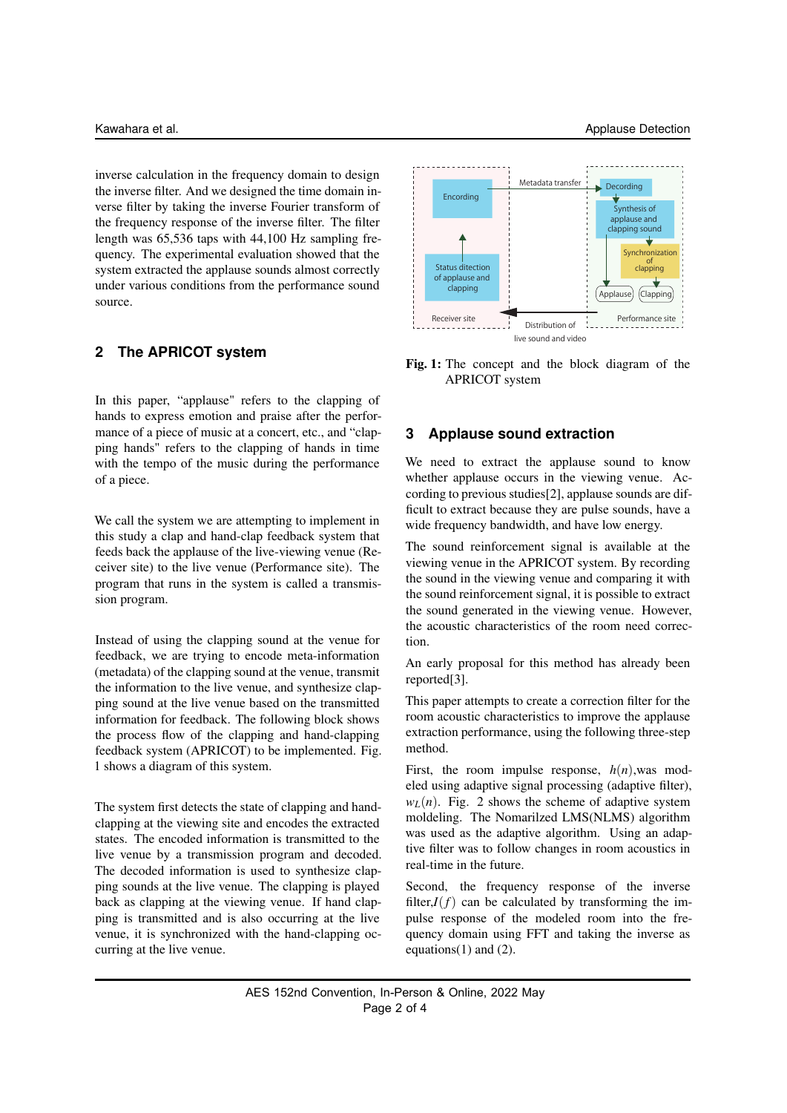inverse calculation in the frequency domain to design the inverse filter. And we designed the time domain inverse filter by taking the inverse Fourier transform of the frequency response of the inverse filter. The filter length was 65,536 taps with 44,100 Hz sampling frequency. The experimental evaluation showed that the system extracted the applause sounds almost correctly under various conditions from the performance sound source.

# **2 The APRICOT system**

In this paper, "applause" refers to the clapping of hands to express emotion and praise after the performance of a piece of music at a concert, etc., and "clapping hands" refers to the clapping of hands in time with the tempo of the music during the performance of a piece.

We call the system we are attempting to implement in this study a clap and hand-clap feedback system that feeds back the applause of the live-viewing venue (Receiver site) to the live venue (Performance site). The program that runs in the system is called a transmission program.

Instead of using the clapping sound at the venue for feedback, we are trying to encode meta-information (metadata) of the clapping sound at the venue, transmit the information to the live venue, and synthesize clapping sound at the live venue based on the transmitted information for feedback. The following block shows the process flow of the clapping and hand-clapping feedback system (APRICOT) to be implemented. Fig. 1 shows a diagram of this system.

The system first detects the state of clapping and handclapping at the viewing site and encodes the extracted states. The encoded information is transmitted to the live venue by a transmission program and decoded. The decoded information is used to synthesize clapping sounds at the live venue. The clapping is played back as clapping at the viewing venue. If hand clapping is transmitted and is also occurring at the live venue, it is synchronized with the hand-clapping occurring at the live venue.



Fig. 1: The concept and the block diagram of the APRICOT system

### **3 Applause sound extraction**

We need to extract the applause sound to know whether applause occurs in the viewing venue. According to previous studies[2], applause sounds are difficult to extract because they are pulse sounds, have a wide frequency bandwidth, and have low energy.

The sound reinforcement signal is available at the viewing venue in the APRICOT system. By recording the sound in the viewing venue and comparing it with the sound reinforcement signal, it is possible to extract the sound generated in the viewing venue. However, the acoustic characteristics of the room need correction.

An early proposal for this method has already been reported[3].

This paper attempts to create a correction filter for the room acoustic characteristics to improve the applause extraction performance, using the following three-step method.

First, the room impulse response,  $h(n)$ , was modeled using adaptive signal processing (adaptive filter),  $w_L(n)$ . Fig. 2 shows the scheme of adaptive system moldeling. The Nomarilzed LMS(NLMS) algorithm was used as the adaptive algorithm. Using an adaptive filter was to follow changes in room acoustics in real-time in the future.

Second, the frequency response of the inverse filter, $I(f)$  can be calculated by transforming the impulse response of the modeled room into the frequency domain using FFT and taking the inverse as equations(1) and  $(2)$ .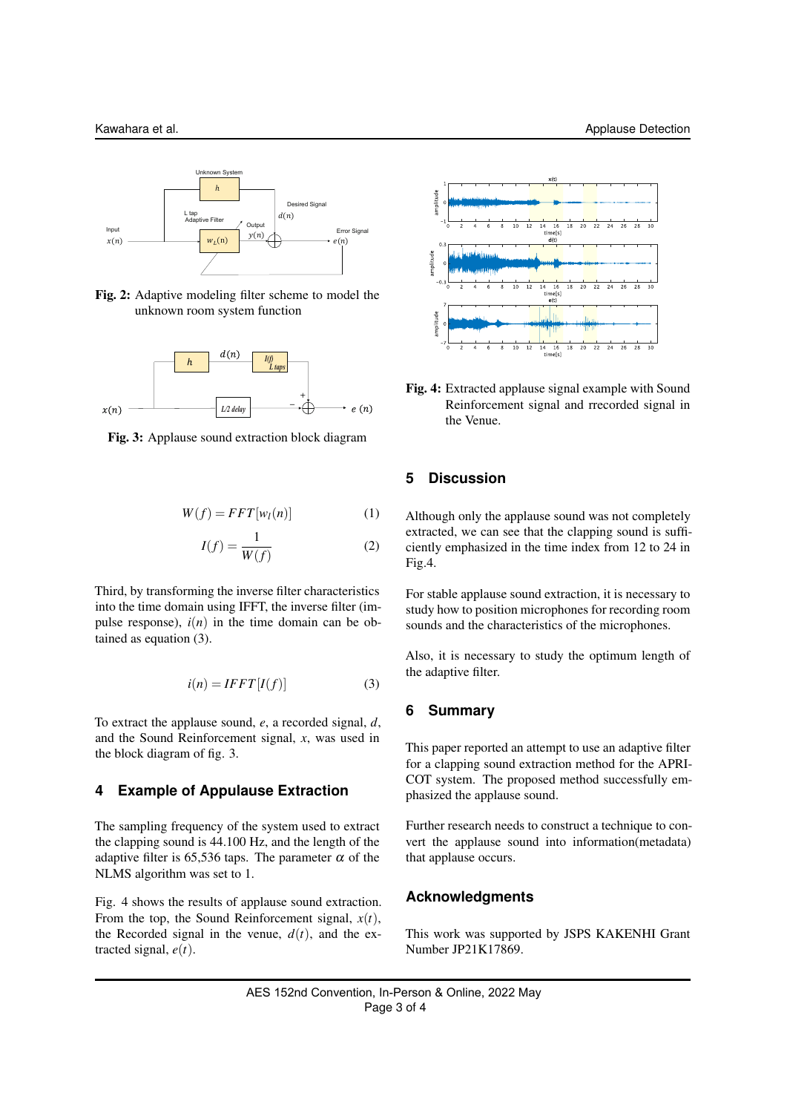

Fig. 2: Adaptive modeling filter scheme to model the unknown room system function



Fig. 3: Applause sound extraction block diagram

$$
W(f) = FFT[w_l(n)] \tag{1}
$$

$$
I(f) = \frac{1}{W(f)}\tag{2}
$$

Third, by transforming the inverse filter characteristics into the time domain using IFFT, the inverse filter (impulse response),  $i(n)$  in the time domain can be obtained as equation (3).

$$
i(n) = IFFT[I(f)] \tag{3}
$$

To extract the applause sound, *e*, a recorded signal, *d*, and the Sound Reinforcement signal, *x*, was used in the block diagram of fig. 3.

#### **4 Example of Appulause Extraction**

The sampling frequency of the system used to extract the clapping sound is 44.100 Hz, and the length of the adaptive filter is 65,536 taps. The parameter  $\alpha$  of the NLMS algorithm was set to 1.

Fig. 4 shows the results of applause sound extraction. From the top, the Sound Reinforcement signal,  $x(t)$ , the Recorded signal in the venue,  $d(t)$ , and the extracted signal, *e*(*t*).



Fig. 4: Extracted applause signal example with Sound Reinforcement signal and rrecorded signal in the Venue.

#### **5 Discussion**

Although only the applause sound was not completely extracted, we can see that the clapping sound is sufficiently emphasized in the time index from 12 to 24 in Fig.4.

For stable applause sound extraction, it is necessary to study how to position microphones for recording room sounds and the characteristics of the microphones.

Also, it is necessary to study the optimum length of the adaptive filter.

#### **6 Summary**

This paper reported an attempt to use an adaptive filter for a clapping sound extraction method for the APRI-COT system. The proposed method successfully emphasized the applause sound.

Further research needs to construct a technique to convert the applause sound into information(metadata) that applause occurs.

#### **Acknowledgments**

This work was supported by JSPS KAKENHI Grant Number JP21K17869.